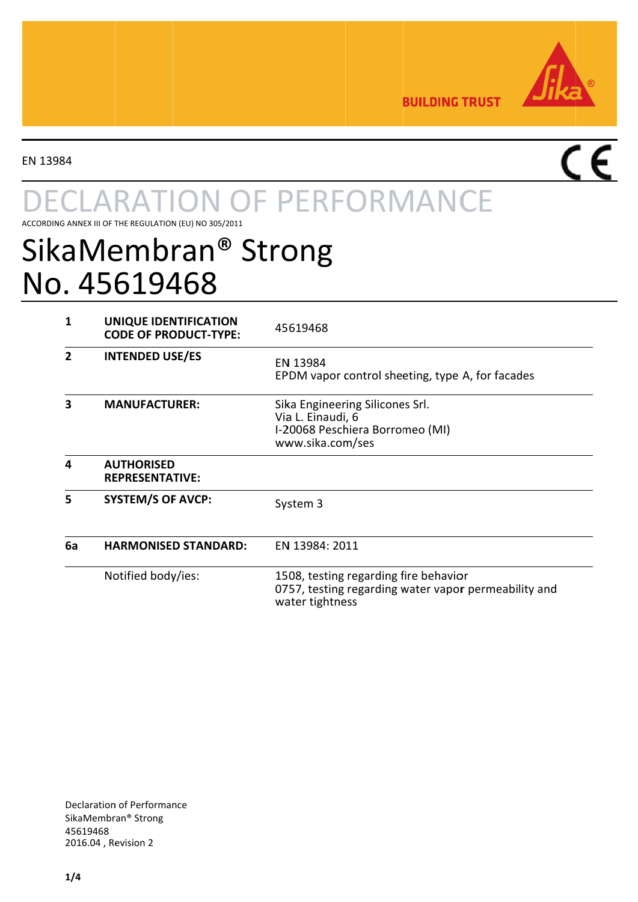

É

**BUILDING TRUST** 

EN 13984

# **ARATION OF PERFORMANCE**

ACCORDING ANNEX III OF THE REGULATION (EU) NO 305/2011

## SikaMembran® Strong No. 45619468

| 1  | UNIQUE IDENTIFICATION<br><b>CODE OF PRODUCT-TYPE:</b> | 45619468                                                                                                         |
|----|-------------------------------------------------------|------------------------------------------------------------------------------------------------------------------|
| 2  | <b>INTENDED USE/ES</b>                                | EN 13984<br>EPDM vapor control sheeting, type A, for facades                                                     |
| 3  | <b>MANUFACTURER:</b>                                  | Sika Engineering Silicones Srl.<br>Via L. Einaudi, 6<br>I-20068 Peschiera Borromeo (MI)<br>www.sika.com/ses      |
| 4  | <b>AUTHORISED</b><br><b>REPRESENTATIVE:</b>           |                                                                                                                  |
| 5  | <b>SYSTEM/S OF AVCP:</b>                              | System 3                                                                                                         |
| 6a | <b>HARMONISED STANDARD:</b>                           | EN 13984: 2011                                                                                                   |
|    | Notified body/ies:                                    | 1508, testing regarding fire behavior<br>0757, testing regarding water vapor permeability and<br>water tightness |

**Declaration of Performance** SikaMembran® Strong 45619468 2016.04, Revision 2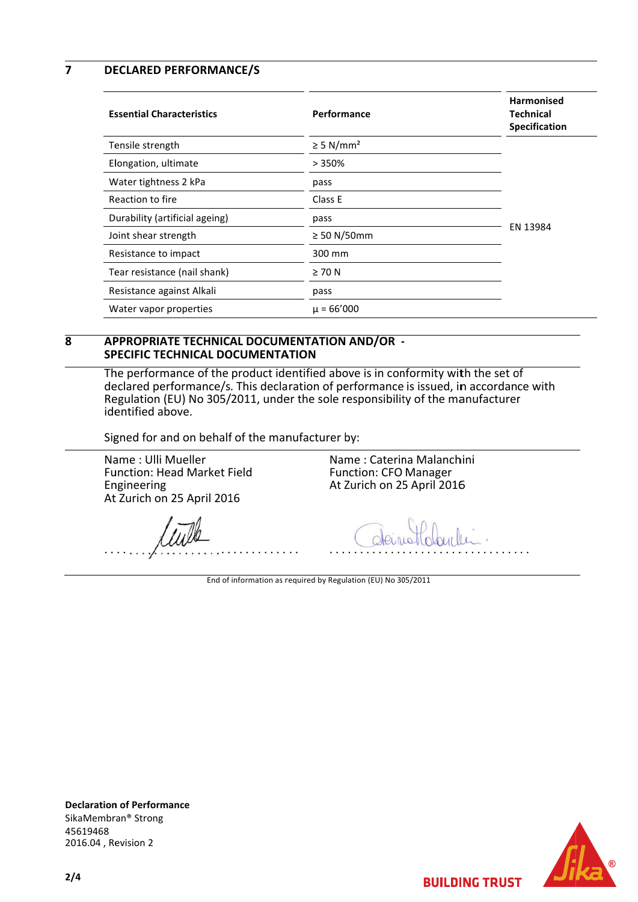$\overline{7}$ **DECLARED PERFORMANCE/S** 

| <b>Essential Characteristics</b> | Performance                | <b>Harmonised</b><br><b>Technical</b><br><b>Specification</b> |
|----------------------------------|----------------------------|---------------------------------------------------------------|
| Tensile strength                 | $\geq$ 5 N/mm <sup>2</sup> |                                                               |
| Elongation, ultimate             | >350%                      | EN 13984                                                      |
| Water tightness 2 kPa            | pass                       |                                                               |
| Reaction to fire                 | Class E                    |                                                               |
| Durability (artificial ageing)   | pass                       |                                                               |
| Joint shear strength             | $\geq$ 50 N/50mm           |                                                               |
| Resistance to impact             | 300 mm                     |                                                               |
| Tear resistance (nail shank)     | $\geq 70$ N                |                                                               |
| Resistance against Alkali        | pass                       |                                                               |
| Water vapor properties           | $\mu = 66'000$             |                                                               |

#### $\overline{\mathbf{R}}$ APPROPRIATE TECHNICAL DOCUMENTATION AND/OR -**SPECIFIC TECHNICAL DOCUMENTATION**

The performance of the product identified above is in conformity with the set of declared performance/s. This declaration of performance is issued, in accordance with Regulation (EU) No 305/2011, under the sole responsibility of the manufacturer identified above.

Signed for and on behalf of the manufacturer by:

Name: Ulli Mueller Function: Head Market Field Engineering At Zurich on 25 April 2016

Name: Caterina Malanchini **Function: CFO Manager** At Zurich on 25 April 2016

End of information as required by Regulation (EU) No 305/2011

**Declaration of Performance** SikaMembran<sup>®</sup> Strong 45619468 2016.04, Revision 2

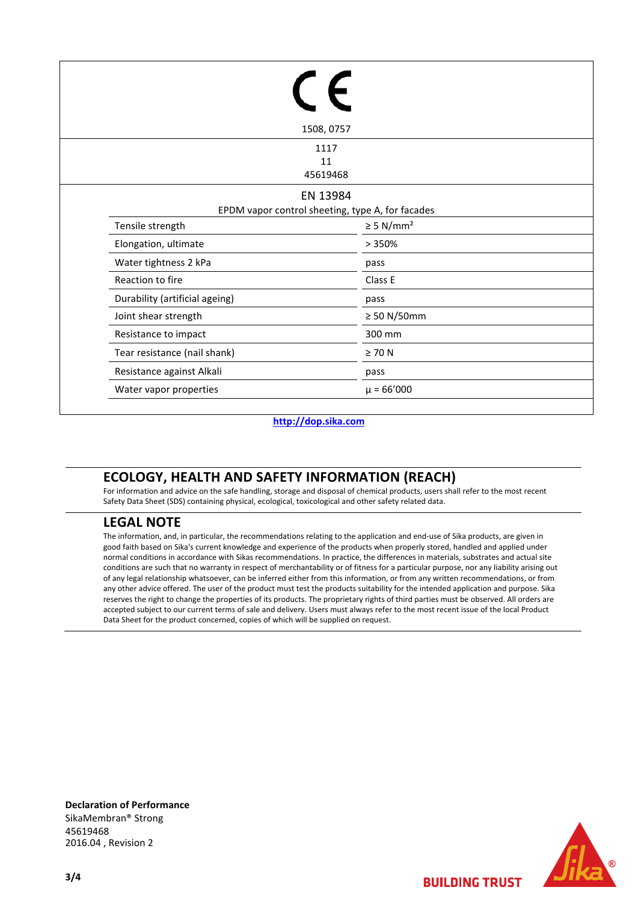|                                | 1508, 0757                                                   |  |  |
|--------------------------------|--------------------------------------------------------------|--|--|
|                                | 1117<br>11<br>45619468                                       |  |  |
|                                | EN 13984<br>EPDM vapor control sheeting, type A, for facades |  |  |
| Tensile strength               | $\geq$ 5 N/mm <sup>2</sup>                                   |  |  |
| Elongation, ultimate           | >350%                                                        |  |  |
| Water tightness 2 kPa          | pass                                                         |  |  |
| Reaction to fire               | Class E                                                      |  |  |
| Durability (artificial ageing) | pass                                                         |  |  |
| Joint shear strength           | $\geq 50$ N/50mm                                             |  |  |
| Resistance to impact           | 300 mm                                                       |  |  |
| Tear resistance (nail shank)   | $\geq 70$ N                                                  |  |  |
| Resistance against Alkali      | pass                                                         |  |  |
| Water vapor properties         | $\mu = 66'000$                                               |  |  |

#### **http://dop.sika.com**

### **ECOLOGY, HEALTH AND SAFETY INFORMATION (REACH)**

For information and advice on the safe handling, storage and disposal of chemical products, users shall refer to the most recent Safety Data Sheet (SDS) containing physical, ecological, toxicological and other safety related data.

#### **LEGAL NOTE**

The information, and, in particular, the recommendations relating to the application and end-use of Sika products, are given in good faith based on Sika's current knowledge and experience of the products when properly stored, handled and applied under normal conditions in accordance with Sikas recommendations. In practice, the differences in materials, substrates and actual site conditions are such that no warranty in respect of merchantability or of fitness for a particular purpose, nor any liability arising out of any legal relationship whatsoever, can be inferred either from this information, or from any written recommendations, or from any other advice offered. The user of the product must test the products suitability for the intended application and purpose. Sika reserves the right to change the properties of its products. The proprietary rights of third parties must be observed. All orders are accepted subject to our current terms of sale and delivery. Users must always refer to the most recent issue of the local Product Data Sheet for the product concerned, copies of which will be supplied on request.

**Declaration of Performance** SikaMembran® Strong 45619468 2016.04 , Revision 2



**BUILDING TRUST**